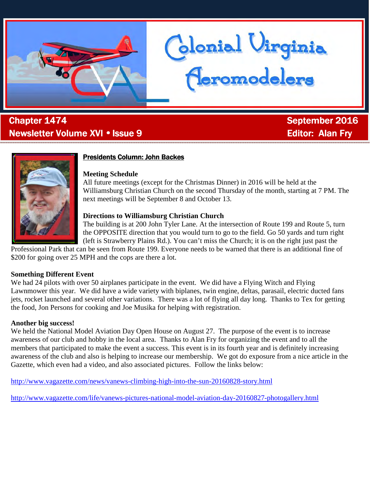

# . Chapter 1474 September 2016 Newsletter Volume XVI • Issue 9 Editor: Editor: Alan Fry



# **Presidents Column: John Backes**

#### **Meeting Schedule**

All future meetings (except for the Christmas Dinner) in 2016 will be held at the Williamsburg Christian Church on the second Thursday of the month, starting at 7 PM. The next meetings will be September 8 and October 13.

Clonial Uirginia<br>Ceromodelers

# **Directions to Williamsburg Christian Church**

The building is at 200 John Tyler Lane. At the intersection of Route 199 and Route 5, turn the OPPOSITE direction that you would turn to go to the field. Go 50 yards and turn right (left is Strawberry Plains Rd.). You can't miss the Church; it is on the right just past the

Professional Park that can be seen from Route 199. Everyone needs to be warned that there is an additional fine of \$200 for going over 25 MPH and the cops are there a lot.

### **Something Different Event**

We had 24 pilots with over 50 airplanes participate in the event. We did have a Flying Witch and Flying Lawnmower this year. We did have a wide variety with biplanes, twin engine, deltas, parasail, electric ducted fans jets, rocket launched and several other variations. There was a lot of flying all day long. Thanks to Tex for getting the food, Jon Persons for cooking and Joe Musika for helping with registration.

# **Another big success!**

We held the National Model Aviation Day Open House on August 27. The purpose of the event is to increase awareness of our club and hobby in the local area. Thanks to Alan Fry for organizing the event and to all the members that participated to make the event a success. This event is in its fourth year and is definitely increasing awareness of the club and also is helping to increase our membership. We got do exposure from a nice article in the Gazette, which even had a video, and also associated pictures. Follow the links below:

http://www.vagazette.com/news/vanews-climbing-high-into-the-sun-20160828-story.html

http://www.vagazette.com/life/vanews-pictures-national-model-aviation-day-20160827-photogallery.html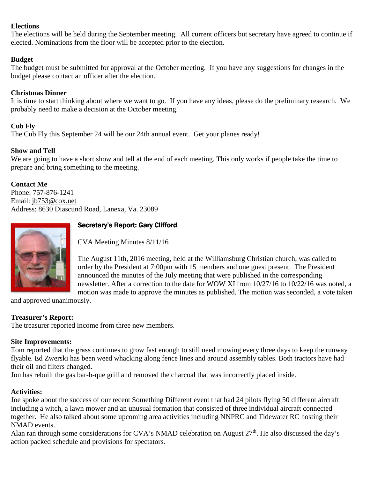#### **Elections**

The elections will be held during the September meeting. All current officers but secretary have agreed to continue if elected. Nominations from the floor will be accepted prior to the election.

### **Budget**

The budget must be submitted for approval at the October meeting. If you have any suggestions for changes in the budget please contact an officer after the election.

### **Christmas Dinner**

It is time to start thinking about where we want to go. If you have any ideas, please do the preliminary research. We probably need to make a decision at the October meeting.

### **Cub Fly**

The Cub Fly this September 24 will be our 24th annual event. Get your planes ready!

### **Show and Tell**

We are going to have a short show and tell at the end of each meeting. This only works if people take the time to prepare and bring something to the meeting.

# **Contact Me**

Phone: 757-876-1241 Email: jb753@cox.net Address: 8630 Diascund Road, Lanexa, Va. 23089



# Secretary's Report: Gary Clifford

CVA Meeting Minutes 8/11/16

The August 11th, 2016 meeting, held at the Williamsburg Christian church, was called to order by the President at 7:00pm with 15 members and one guest present. The President announced the minutes of the July meeting that were published in the corresponding newsletter. After a correction to the date for WOW XI from 10/27/16 to 10/22/16 was noted, a motion was made to approve the minutes as published. The motion was seconded, a vote taken

and approved unanimously.

### **Treasurer's Report:**

The treasurer reported income from three new members.

### **Site Improvements:**

Tom reported that the grass continues to grow fast enough to still need mowing every three days to keep the runway flyable. Ed Zwerski has been weed whacking along fence lines and around assembly tables. Both tractors have had their oil and filters changed.

Jon has rebuilt the gas bar-b-que grill and removed the charcoal that was incorrectly placed inside.

### **Activities:**

Joe spoke about the success of our recent Something Different event that had 24 pilots flying 50 different aircraft including a witch, a lawn mower and an unusual formation that consisted of three individual aircraft connected together. He also talked about some upcoming area activities including NNPRC and Tidewater RC hosting their NMAD events.

Alan ran through some considerations for CVA's NMAD celebration on August  $27<sup>th</sup>$ . He also discussed the day's action packed schedule and provisions for spectators.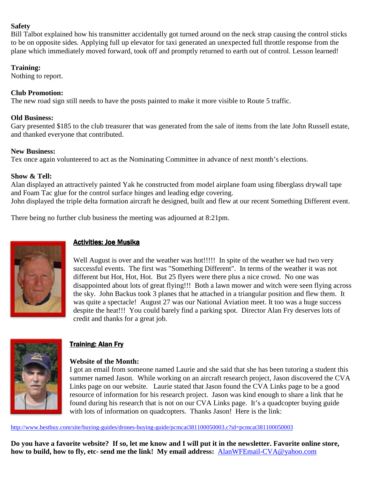#### **Safety**

Bill Talbot explained how his transmitter accidentally got turned around on the neck strap causing the control sticks to be on opposite sides. Applying full up elevator for taxi generated an unexpected full throttle response from the plane which immediately moved forward, took off and promptly returned to earth out of control. Lesson learned!

### **Training:**

Nothing to report.

# **Club Promotion:**

The new road sign still needs to have the posts painted to make it more visible to Route 5 traffic.

# **Old Business:**

Gary presented \$185 to the club treasurer that was generated from the sale of items from the late John Russell estate, and thanked everyone that contributed.

### **New Business:**

Tex once again volunteered to act as the Nominating Committee in advance of next month's elections.

# **Show & Tell:**

Alan displayed an attractively painted Yak he constructed from model airplane foam using fiberglass drywall tape and Foam Tac glue for the control surface hinges and leading edge covering. John displayed the triple delta formation aircraft he designed, built and flew at our recent Something Different event.

There being no further club business the meeting was adjourned at 8:21pm.



# Activities: Joe Musika

Well August is over and the weather was hot!!!!! In spite of the weather we had two very successful events. The first was "Something Different". In terms of the weather it was not different but Hot, Hot, Hot. But 25 flyers were there plus a nice crowd. No one was disappointed about lots of great flying!!! Both a lawn mower and witch were seen flying across the sky. John Backus took 3 planes that he attached in a triangular position and flew them. It was quite a spectacle! August 27 was our National Aviation meet. It too was a huge success despite the heat!!! You could barely find a parking spot. Director Alan Fry deserves lots of credit and thanks for a great job.



# Training: Alan Fry

### **Website of the Month:**

I got an email from someone named Laurie and she said that she has been tutoring a student this summer named Jason. While working on an aircraft research project, Jason discovered the CVA Links page on our website. Laurie stated that Jason found the CVA Links page to be a good resource of information for his research project. Jason was kind enough to share a link that he found during his research that is not on our CVA Links page. It's a quadcopter buying guide with lots of information on quadcopters. Thanks Jason! Here is the link:

http://www.bestbuy.com/site/buying-guides/drones-buying-guide/pcmcat381100050003.c?id=pcmcat381100050003

**Do you have a favorite website? If so, let me know and I will put it in the newsletter. Favorite online store, how to build, how to fly, etc- send me the link! My email address:** AlanWFEmail-CVA@yahoo.com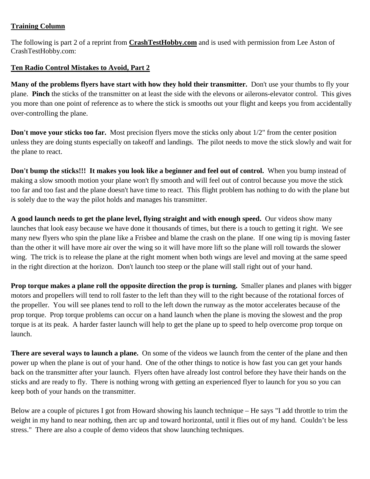# **Training Column**

The following is part 2 of a reprint from **CrashTestHobby.com** and is used with permission from Lee Aston of CrashTestHobby.com:

# **Ten Radio Control Mistakes to Avoid, Part 2**

**Many of the problems flyers have start with how they hold their transmitter.** Don't use your thumbs to fly your plane. **Pinch** the sticks of the transmitter on at least the side with the elevons or ailerons-elevator control. This gives you more than one point of reference as to where the stick is smooths out your flight and keeps you from accidentally over-controlling the plane.

**Don't move your sticks too far.** Most precision flyers move the sticks only about 1/2" from the center position unless they are doing stunts especially on takeoff and landings. The pilot needs to move the stick slowly and wait for the plane to react.

**Don't bump the sticks!!! It makes you look like a beginner and feel out of control.** When you bump instead of making a slow smooth motion your plane won't fly smooth and will feel out of control because you move the stick too far and too fast and the plane doesn't have time to react. This flight problem has nothing to do with the plane but is solely due to the way the pilot holds and manages his transmitter.

**A good launch needs to get the plane level, flying straight and with enough speed.** Our videos show many launches that look easy because we have done it thousands of times, but there is a touch to getting it right. We see many new flyers who spin the plane like a Frisbee and blame the crash on the plane. If one wing tip is moving faster than the other it will have more air over the wing so it will have more lift so the plane will roll towards the slower wing. The trick is to release the plane at the right moment when both wings are level and moving at the same speed in the right direction at the horizon. Don't launch too steep or the plane will stall right out of your hand.

**Prop torque makes a plane roll the opposite direction the prop is turning.** Smaller planes and planes with bigger motors and propellers will tend to roll faster to the left than they will to the right because of the rotational forces of the propeller. You will see planes tend to roll to the left down the runway as the motor accelerates because of the prop torque. Prop torque problems can occur on a hand launch when the plane is moving the slowest and the prop torque is at its peak. A harder faster launch will help to get the plane up to speed to help overcome prop torque on launch.

**There are several ways to launch a plane.** On some of the videos we launch from the center of the plane and then power up when the plane is out of your hand. One of the other things to notice is how fast you can get your hands back on the transmitter after your launch. Flyers often have already lost control before they have their hands on the sticks and are ready to fly. There is nothing wrong with getting an experienced flyer to launch for you so you can keep both of your hands on the transmitter.

Below are a couple of pictures I got from Howard showing his launch technique – He says "I add throttle to trim the weight in my hand to near nothing, then arc up and toward horizontal, until it flies out of my hand. Couldn't be less stress." There are also a couple of demo videos that show launching techniques.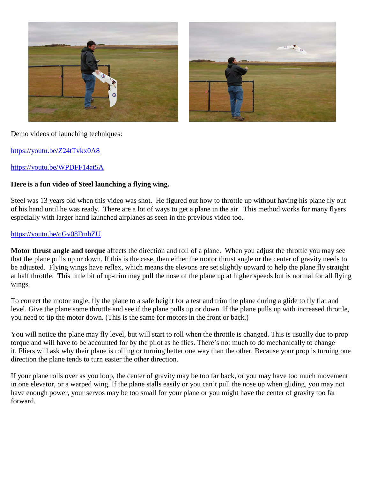

#### Demo videos of launching techniques:

https://youtu.be/Z24tTvkx0A8

#### https://youtu.be/WPDFF14at5A

#### **Here is a fun video of Steel launching a flying wing.**

Steel was 13 years old when this video was shot. He figured out how to throttle up without having his plane fly out of his hand until he was ready. There are a lot of ways to get a plane in the air. This method works for many flyers especially with larger hand launched airplanes as seen in the previous video too.

#### https://youtu.be/qGv08FtnhZU

**Motor thrust angle and torque** affects the direction and roll of a plane. When you adjust the throttle you may see that the plane pulls up or down. If this is the case, then either the motor thrust angle or the center of gravity needs to be adjusted. Flying wings have reflex, which means the elevons are set slightly upward to help the plane fly straight at half throttle. This little bit of up-trim may pull the nose of the plane up at higher speeds but is normal for all flying wings.

To correct the motor angle, fly the plane to a safe height for a test and trim the plane during a glide to fly flat and level. Give the plane some throttle and see if the plane pulls up or down. If the plane pulls up with increased throttle, you need to tip the motor down. (This is the same for motors in the front or back.)

You will notice the plane may fly level, but will start to roll when the throttle is changed. This is usually due to prop torque and will have to be accounted for by the pilot as he flies. There's not much to do mechanically to change it. Fliers will ask why their plane is rolling or turning better one way than the other. Because your prop is turning one direction the plane tends to turn easier the other direction.

If your plane rolls over as you loop, the center of gravity may be too far back, or you may have too much movement in one elevator, or a warped wing. If the plane stalls easily or you can't pull the nose up when gliding, you may not have enough power, your servos may be too small for your plane or you might have the center of gravity too far forward.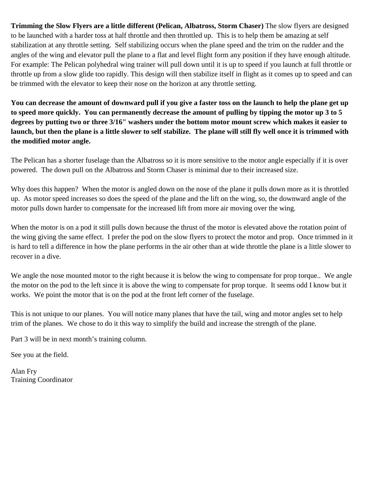**Trimming the Slow Flyers are a little different (Pelican, Albatross, Storm Chaser)** The slow flyers are designed to be launched with a harder toss at half throttle and then throttled up. This is to help them be amazing at self stabilization at any throttle setting. Self stabilizing occurs when the plane speed and the trim on the rudder and the angles of the wing and elevator pull the plane to a flat and level flight form any position if they have enough altitude. For example: The Pelican polyhedral wing trainer will pull down until it is up to speed if you launch at full throttle or throttle up from a slow glide too rapidly. This design will then stabilize itself in flight as it comes up to speed and can be trimmed with the elevator to keep their nose on the horizon at any throttle setting.

**You can decrease the amount of downward pull if you give a faster toss on the launch to help the plane get up to speed more quickly. You can permanently decrease the amount of pulling by tipping the motor up 3 to 5 degrees by putting two or three 3/16" washers under the bottom motor mount screw which makes it easier to launch, but then the plane is a little slower to self stabilize. The plane will still fly well once it is trimmed with the modified motor angle.** 

The Pelican has a shorter fuselage than the Albatross so it is more sensitive to the motor angle especially if it is over powered. The down pull on the Albatross and Storm Chaser is minimal due to their increased size.

Why does this happen? When the motor is angled down on the nose of the plane it pulls down more as it is throttled up. As motor speed increases so does the speed of the plane and the lift on the wing, so, the downward angle of the motor pulls down harder to compensate for the increased lift from more air moving over the wing.

When the motor is on a pod it still pulls down because the thrust of the motor is elevated above the rotation point of the wing giving the same effect. I prefer the pod on the slow flyers to protect the motor and prop. Once trimmed in it is hard to tell a difference in how the plane performs in the air other than at wide throttle the plane is a little slower to recover in a dive.

We angle the nose mounted motor to the right because it is below the wing to compensate for prop torque.. We angle the motor on the pod to the left since it is above the wing to compensate for prop torque. It seems odd I know but it works. We point the motor that is on the pod at the front left corner of the fuselage.

This is not unique to our planes. You will notice many planes that have the tail, wing and motor angles set to help trim of the planes. We chose to do it this way to simplify the build and increase the strength of the plane.

Part 3 will be in next month's training column.

See you at the field.

Alan Fry Training Coordinator